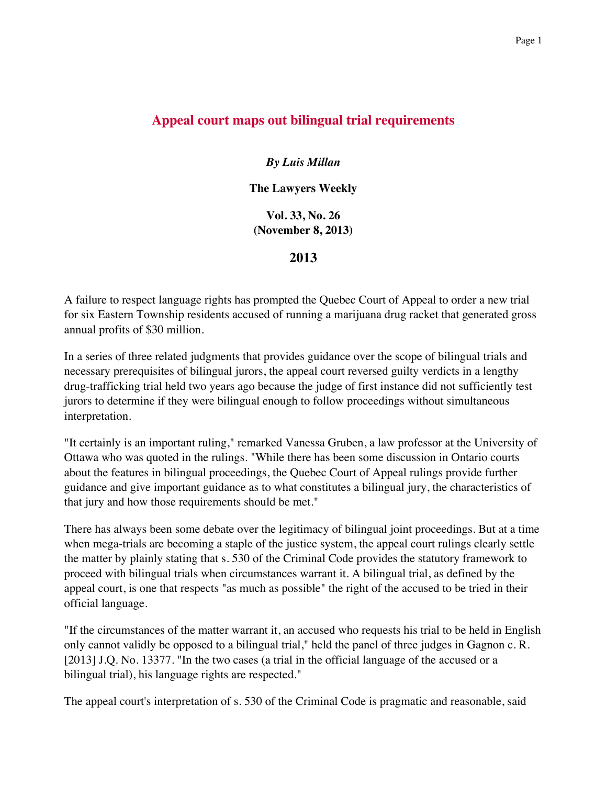## **Appeal court maps out bilingual trial requirements**

## *By Luis Millan*

**The Lawyers Weekly**

**Vol. 33, No. 26 (November 8, 2013)**

**2013**

A failure to respect language rights has prompted the Quebec Court of Appeal to order a new trial for six Eastern Township residents accused of running a marijuana drug racket that generated gross annual profits of \$30 million.

In a series of three related judgments that provides guidance over the scope of bilingual trials and necessary prerequisites of bilingual jurors, the appeal court reversed guilty verdicts in a lengthy drug-trafficking trial held two years ago because the judge of first instance did not sufficiently test jurors to determine if they were bilingual enough to follow proceedings without simultaneous interpretation.

"It certainly is an important ruling," remarked Vanessa Gruben, a law professor at the University of Ottawa who was quoted in the rulings. "While there has been some discussion in Ontario courts about the features in bilingual proceedings, the Quebec Court of Appeal rulings provide further guidance and give important guidance as to what constitutes a bilingual jury, the characteristics of that jury and how those requirements should be met."

There has always been some debate over the legitimacy of bilingual joint proceedings. But at a time when mega-trials are becoming a staple of the justice system, the appeal court rulings clearly settle the matter by plainly stating that s. 530 of the Criminal Code provides the statutory framework to proceed with bilingual trials when circumstances warrant it. A bilingual trial, as defined by the appeal court, is one that respects "as much as possible" the right of the accused to be tried in their official language.

"If the circumstances of the matter warrant it, an accused who requests his trial to be held in English only cannot validly be opposed to a bilingual trial," held the panel of three judges in Gagnon c. R. [2013] J.Q. No. 13377. "In the two cases (a trial in the official language of the accused or a bilingual trial), his language rights are respected."

The appeal court's interpretation of s. 530 of the Criminal Code is pragmatic and reasonable, said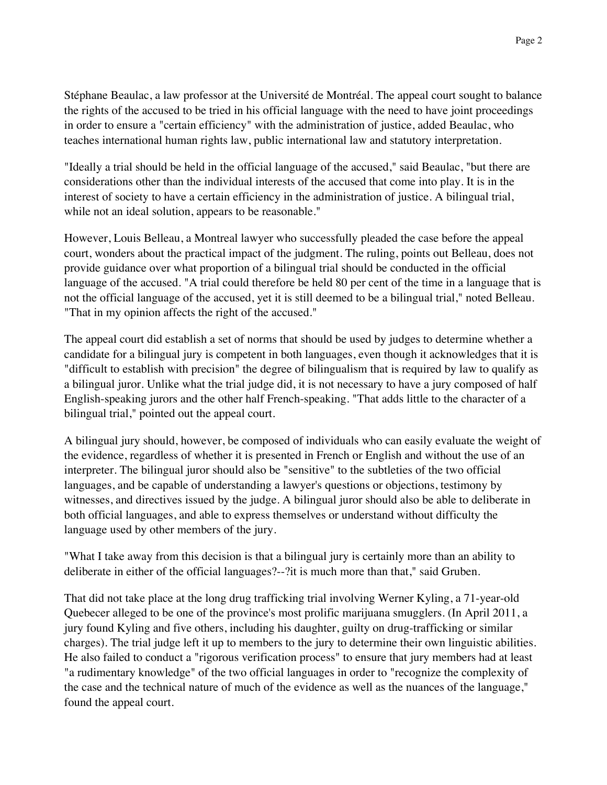Stéphane Beaulac, a law professor at the Université de Montréal. The appeal court sought to balance the rights of the accused to be tried in his official language with the need to have joint proceedings in order to ensure a "certain efficiency" with the administration of justice, added Beaulac, who teaches international human rights law, public international law and statutory interpretation.

"Ideally a trial should be held in the official language of the accused," said Beaulac, "but there are considerations other than the individual interests of the accused that come into play. It is in the interest of society to have a certain efficiency in the administration of justice. A bilingual trial, while not an ideal solution, appears to be reasonable."

However, Louis Belleau, a Montreal lawyer who successfully pleaded the case before the appeal court, wonders about the practical impact of the judgment. The ruling, points out Belleau, does not provide guidance over what proportion of a bilingual trial should be conducted in the official language of the accused. "A trial could therefore be held 80 per cent of the time in a language that is not the official language of the accused, yet it is still deemed to be a bilingual trial," noted Belleau. "That in my opinion affects the right of the accused."

The appeal court did establish a set of norms that should be used by judges to determine whether a candidate for a bilingual jury is competent in both languages, even though it acknowledges that it is "difficult to establish with precision" the degree of bilingualism that is required by law to qualify as a bilingual juror. Unlike what the trial judge did, it is not necessary to have a jury composed of half English-speaking jurors and the other half French-speaking. "That adds little to the character of a bilingual trial," pointed out the appeal court.

A bilingual jury should, however, be composed of individuals who can easily evaluate the weight of the evidence, regardless of whether it is presented in French or English and without the use of an interpreter. The bilingual juror should also be "sensitive" to the subtleties of the two official languages, and be capable of understanding a lawyer's questions or objections, testimony by witnesses, and directives issued by the judge. A bilingual juror should also be able to deliberate in both official languages, and able to express themselves or understand without difficulty the language used by other members of the jury.

"What I take away from this decision is that a bilingual jury is certainly more than an ability to deliberate in either of the official languages?--?it is much more than that," said Gruben.

That did not take place at the long drug trafficking trial involving Werner Kyling, a 71-year-old Quebecer alleged to be one of the province's most prolific marijuana smugglers. (In April 2011, a jury found Kyling and five others, including his daughter, guilty on drug-trafficking or similar charges). The trial judge left it up to members to the jury to determine their own linguistic abilities. He also failed to conduct a "rigorous verification process" to ensure that jury members had at least "a rudimentary knowledge" of the two official languages in order to "recognize the complexity of the case and the technical nature of much of the evidence as well as the nuances of the language," found the appeal court.